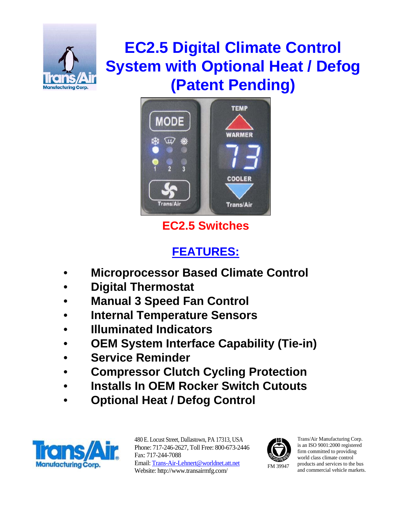

# **EC2.5 Digital Climate Control System with Optional Heat / Defog (Patent Pending)**



## **EC2.5 Switches**

## **FEATURES:**

- **Microprocessor Based Climate Control**
- **Digital Thermostat**
- **Manual 3 Speed Fan Control**
- **Internal Temperature Sensors**
- **Illuminated Indicators**
- **OEM System Interface Capability (Tie-in)**
- **Service Reminder**
- **Compressor Clutch Cycling Protection**
- **Installs In OEM Rocker Switch Cutouts**
- **Optional Heat / Defog Control**



480 E. Locust Street, Dallastown, PA 17313, USA Phone: 717-246-2627, Toll Free: 800-673-2446 Fax: 717-244-7088 Email: Trans-Air-Lehnert@worldnet.att.net Website: http://www.transairmfg.com/



Trans/Air Manufacturing Corp. is an ISO 9001:2000 registered firm committed to providing world class climate control products and services to the bus and commercial vehicle markets.